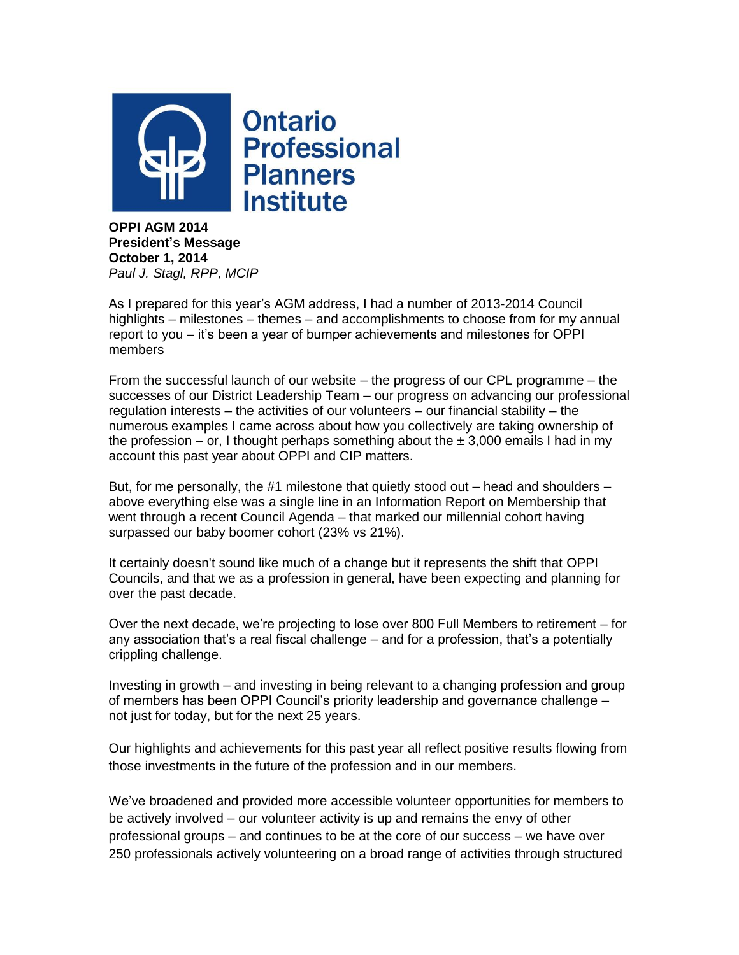

**OPPI AGM 2014 President's Message October 1, 2014** *Paul J. Stagl, RPP, MCIP*

As I prepared for this year's AGM address, I had a number of 2013-2014 Council highlights – milestones – themes – and accomplishments to choose from for my annual report to you – it's been a year of bumper achievements and milestones for OPPI members

From the successful launch of our website – the progress of our CPL programme – the successes of our District Leadership Team – our progress on advancing our professional regulation interests – the activities of our volunteers – our financial stability – the numerous examples I came across about how you collectively are taking ownership of the profession – or, I thought perhaps something about the  $\pm$  3,000 emails I had in my account this past year about OPPI and CIP matters.

But, for me personally, the #1 milestone that quietly stood out  $-$  head and shoulders  $$ above everything else was a single line in an Information Report on Membership that went through a recent Council Agenda – that marked our millennial cohort having surpassed our baby boomer cohort (23% vs 21%).

It certainly doesn't sound like much of a change but it represents the shift that OPPI Councils, and that we as a profession in general, have been expecting and planning for over the past decade.

Over the next decade, we're projecting to lose over 800 Full Members to retirement – for any association that's a real fiscal challenge – and for a profession, that's a potentially crippling challenge.

Investing in growth – and investing in being relevant to a changing profession and group of members has been OPPI Council's priority leadership and governance challenge – not just for today, but for the next 25 years.

Our highlights and achievements for this past year all reflect positive results flowing from those investments in the future of the profession and in our members.

We've broadened and provided more accessible volunteer opportunities for members to be actively involved – our volunteer activity is up and remains the envy of other professional groups – and continues to be at the core of our success – we have over 250 professionals actively volunteering on a broad range of activities through structured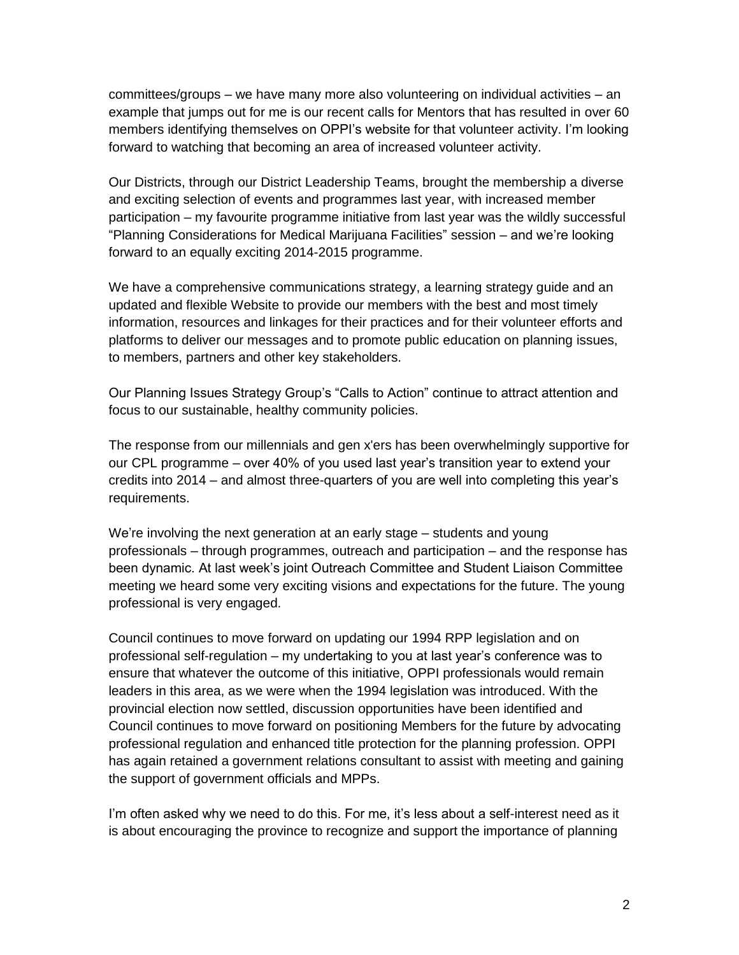committees/groups – we have many more also volunteering on individual activities – an example that jumps out for me is our recent calls for Mentors that has resulted in over 60 members identifying themselves on OPPI's website for that volunteer activity. I'm looking forward to watching that becoming an area of increased volunteer activity.

Our Districts, through our District Leadership Teams, brought the membership a diverse and exciting selection of events and programmes last year, with increased member participation – my favourite programme initiative from last year was the wildly successful "Planning Considerations for Medical Marijuana Facilities" session – and we're looking forward to an equally exciting 2014-2015 programme.

We have a comprehensive communications strategy, a learning strategy guide and an updated and flexible Website to provide our members with the best and most timely information, resources and linkages for their practices and for their volunteer efforts and platforms to deliver our messages and to promote public education on planning issues, to members, partners and other key stakeholders.

Our Planning Issues Strategy Group's "Calls to Action" continue to attract attention and focus to our sustainable, healthy community policies.

The response from our millennials and gen x'ers has been overwhelmingly supportive for our CPL programme – over 40% of you used last year's transition year to extend your credits into 2014 – and almost three-quarters of you are well into completing this year's requirements.

We're involving the next generation at an early stage – students and young professionals – through programmes, outreach and participation – and the response has been dynamic. At last week's joint Outreach Committee and Student Liaison Committee meeting we heard some very exciting visions and expectations for the future. The young professional is very engaged.

Council continues to move forward on updating our 1994 RPP legislation and on professional self-regulation – my undertaking to you at last year's conference was to ensure that whatever the outcome of this initiative, OPPI professionals would remain leaders in this area, as we were when the 1994 legislation was introduced. With the provincial election now settled, discussion opportunities have been identified and Council continues to move forward on positioning Members for the future by advocating professional regulation and enhanced title protection for the planning profession. OPPI has again retained a government relations consultant to assist with meeting and gaining the support of government officials and MPPs.

I'm often asked why we need to do this. For me, it's less about a self-interest need as it is about encouraging the province to recognize and support the importance of planning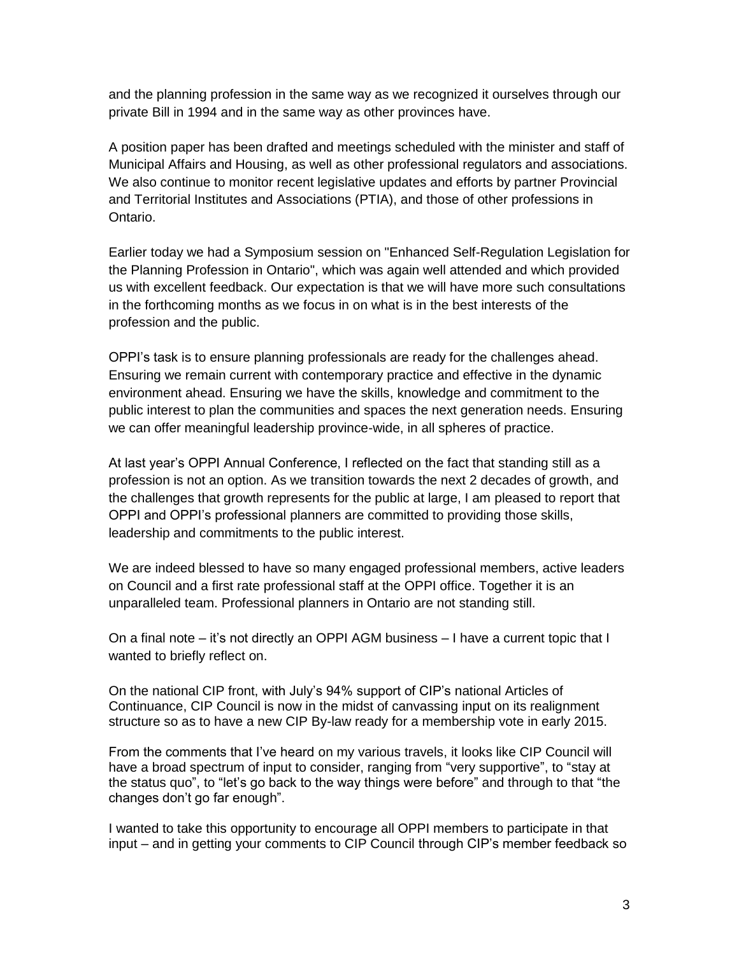and the planning profession in the same way as we recognized it ourselves through our private Bill in 1994 and in the same way as other provinces have.

A position paper has been drafted and meetings scheduled with the minister and staff of Municipal Affairs and Housing, as well as other professional regulators and associations. We also continue to monitor recent legislative updates and efforts by partner Provincial and Territorial Institutes and Associations (PTIA), and those of other professions in Ontario.

Earlier today we had a Symposium session on "Enhanced Self-Regulation Legislation for the Planning Profession in Ontario", which was again well attended and which provided us with excellent feedback. Our expectation is that we will have more such consultations in the forthcoming months as we focus in on what is in the best interests of the profession and the public.

OPPI's task is to ensure planning professionals are ready for the challenges ahead. Ensuring we remain current with contemporary practice and effective in the dynamic environment ahead. Ensuring we have the skills, knowledge and commitment to the public interest to plan the communities and spaces the next generation needs. Ensuring we can offer meaningful leadership province-wide, in all spheres of practice.

At last year's OPPI Annual Conference, I reflected on the fact that standing still as a profession is not an option. As we transition towards the next 2 decades of growth, and the challenges that growth represents for the public at large, I am pleased to report that OPPI and OPPI's professional planners are committed to providing those skills, leadership and commitments to the public interest.

We are indeed blessed to have so many engaged professional members, active leaders on Council and a first rate professional staff at the OPPI office. Together it is an unparalleled team. Professional planners in Ontario are not standing still.

On a final note – it's not directly an OPPI AGM business – I have a current topic that I wanted to briefly reflect on.

On the national CIP front, with July's 94% support of CIP's national Articles of Continuance, CIP Council is now in the midst of canvassing input on its realignment structure so as to have a new CIP By-law ready for a membership vote in early 2015.

From the comments that I've heard on my various travels, it looks like CIP Council will have a broad spectrum of input to consider, ranging from "very supportive", to "stay at the status quo", to "let's go back to the way things were before" and through to that "the changes don't go far enough".

I wanted to take this opportunity to encourage all OPPI members to participate in that input – and in getting your comments to CIP Council through CIP's member feedback so